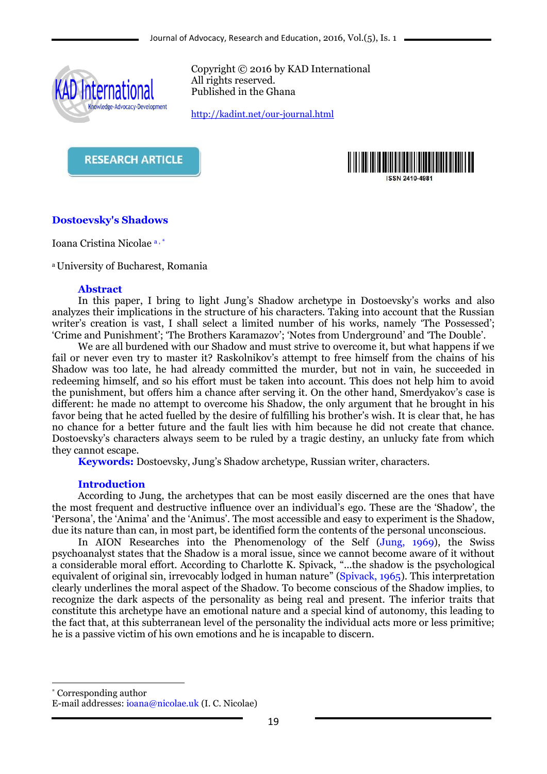

Copyright © 2016 by KAD International All rights reserved. Published in the Ghana

<http://kadint.net/our-journal.html>

**RESEARCH ARTICLE** 



# **Dostoevsky's Shadows**

Ioana Cristina Nicolae a , \*

<sup>a</sup>University of Bucharest, Romania

### **Abstract**

In this paper, I bring to light Jung's Shadow archetype in Dostoevsky's works and also analyzes their implications in the structure of his characters. Taking into account that the Russian writer's creation is vast, I shall select a limited number of his works, namely 'The Possessed'; 'Crime and Punishment'; 'The Brothers Karamazov'; 'Notes from Underground' and 'The Double'.

We are all burdened with our Shadow and must strive to overcome it, but what happens if we fail or never even try to master it? Raskolnikov's attempt to free himself from the chains of his Shadow was too late, he had already committed the murder, but not in vain, he succeeded in redeeming himself, and so his effort must be taken into account. This does not help him to avoid the punishment, but offers him a chance after serving it. On the other hand, Smerdyakov's case is different: he made no attempt to overcome his Shadow, the only argument that he brought in his favor being that he acted fuelled by the desire of fulfilling his brother's wish. It is clear that, he has no chance for a better future and the fault lies with him because he did not create that chance. Dostoevsky's characters always seem to be ruled by a tragic destiny, an unlucky fate from which they cannot escape.

**Keywords:** Dostoevsky, Jung's Shadow archetype, Russian writer, characters.

### **Introduction**

According to Jung, the archetypes that can be most easily discerned are the ones that have the most frequent and destructive influence over an individual's ego. These are the 'Shadow', the 'Persona', the 'Anima' and the 'Animus'. The most accessible and easy to experiment is the Shadow, due its nature than can, in most part, be identified form the contents of the personal unconscious.

In AION Researches into the Phenomenology of the Self (Jung, 1969), the Swiss psychoanalyst states that the Shadow is a moral issue, since we cannot become aware of it without a considerable moral effort. According to Charlotte K. Spivack, "...the shadow is the psychological equivalent of original sin, irrevocably lodged in human nature" (Spivack, 1965). This interpretation clearly underlines the moral aspect of the Shadow. To become conscious of the Shadow implies, to recognize the dark aspects of the personality as being real and present. The inferior traits that constitute this archetype have an emotional nature and a special kind of autonomy, this leading to the fact that, at this subterranean level of the personality the individual acts more or less primitive; he is a passive victim of his own emotions and he is incapable to discern.

\* Corresponding author

1

E-mail addresses: [ioana@nicolae.uk](mailto:ioana@nicolae.uk) (I. C. Nicolae)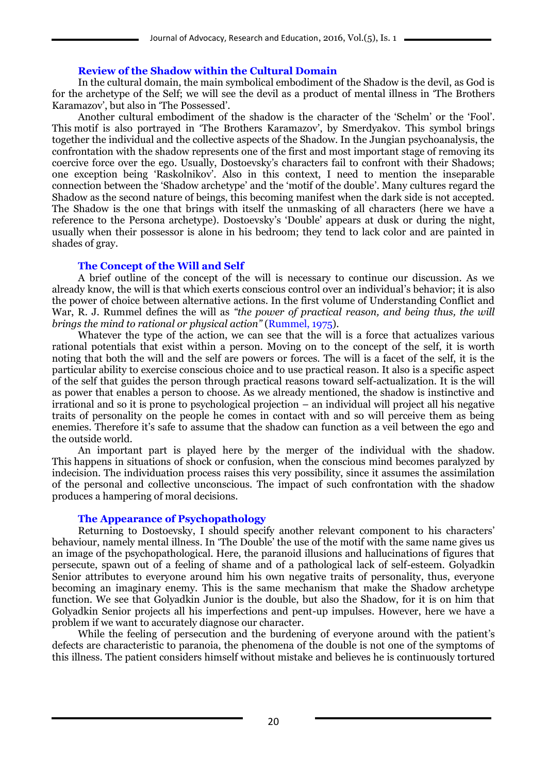# **Review of the Shadow within the Cultural Domain**

In the cultural domain, the main symbolical embodiment of the Shadow is the devil, as God is for the archetype of the Self; we will see the devil as a product of mental illness in 'The Brothers Karamazov', but also in 'The Possessed'.

Another cultural embodiment of the shadow is the character of the 'Schelm' or the 'Fool'. This motif is also portrayed in 'The Brothers Karamazov', by Smerdyakov. This symbol brings together the individual and the collective aspects of the Shadow. In the Jungian psychoanalysis, the confrontation with the shadow represents one of the first and most important stage of removing its coercive force over the ego. Usually, Dostoevsky's characters fail to confront with their Shadows; one exception being 'Raskolnikov'. Also in this context, I need to mention the inseparable connection between the 'Shadow archetype' and the 'motif of the double'. Many cultures regard the Shadow as the second nature of beings, this becoming manifest when the dark side is not accepted. The Shadow is the one that brings with itself the unmasking of all characters (here we have a reference to the Persona archetype). Dostoevsky's 'Double' appears at dusk or during the night, usually when their possessor is alone in his bedroom; they tend to lack color and are painted in shades of gray.

### **The Concept of the Will and Self**

A brief outline of the concept of the will is necessary to continue our discussion. As we already know, the will is that which exerts conscious control over an individual's behavior; it is also the power of choice between alternative actions. In the first volume of Understanding Conflict and War, R. J. Rummel defines the will as *"the power of practical reason, and being thus, the will brings the mind to rational or physical action"* (Rummel, 1975).

Whatever the type of the action, we can see that the will is a force that actualizes various rational potentials that exist within a person. Moving on to the concept of the self, it is worth noting that both the will and the self are powers or forces. The will is a facet of the self, it is the particular ability to exercise conscious choice and to use practical reason. It also is a specific aspect of the self that guides the person through practical reasons toward self-actualization. It is the will as power that enables a person to choose. As we already mentioned, the shadow is instinctive and irrational and so it is prone to psychological projection – an individual will project all his negative traits of personality on the people he comes in contact with and so will perceive them as being enemies. Therefore it's safe to assume that the shadow can function as a veil between the ego and the outside world.

An important part is played here by the merger of the individual with the shadow. This happens in situations of shock or confusion, when the conscious mind becomes paralyzed by indecision. The individuation process raises this very possibility, since it assumes the assimilation of the personal and collective unconscious. The impact of such confrontation with the shadow produces a hampering of moral decisions.

### **The Appearance of Psychopathology**

Returning to Dostoevsky, I should specify another relevant component to his characters' behaviour, namely mental illness. In 'The Double' the use of the motif with the same name gives us an image of the psychopathological. Here, the paranoid illusions and hallucinations of figures that persecute, spawn out of a feeling of shame and of a pathological lack of self-esteem. Golyadkin Senior attributes to everyone around him his own negative traits of personality, thus, everyone becoming an imaginary enemy. This is the same mechanism that make the Shadow archetype function. We see that Golyadkin Junior is the double, but also the Shadow, for it is on him that Golyadkin Senior projects all his imperfections and pent-up impulses. However, here we have a problem if we want to accurately diagnose our character.

While the feeling of persecution and the burdening of everyone around with the patient's defects are characteristic to paranoia, the phenomena of the double is not one of the symptoms of this illness. The patient considers himself without mistake and believes he is continuously tortured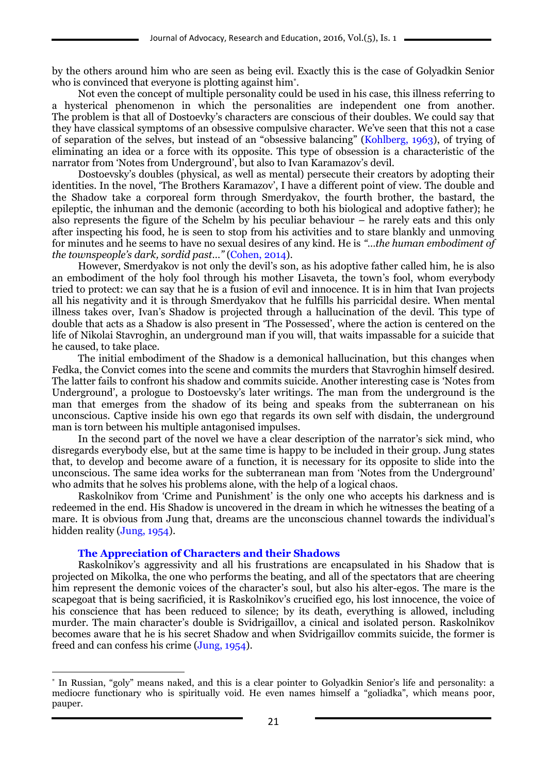by the others around him who are seen as being evil. Exactly this is the case of Golyadkin Senior who is convinced that everyone is plotting against him\* .

Not even the concept of multiple personality could be used in his case, this illness referring to a hysterical phenomenon in which the personalities are independent one from another. The problem is that all of Dostoevky's characters are conscious of their doubles. We could say that they have classical symptoms of an obsessive compulsive character. We've seen that this not a case of separation of the selves, but instead of an "obsessive balancing" (Kohlberg, 1963), of trying of eliminating an idea or a force with its opposite. This type of obsession is a characteristic of the narrator from 'Notes from Underground', but also to Ivan Karamazov's devil.

Dostoevsky's doubles (physical, as well as mental) persecute their creators by adopting their identities. In the novel, 'The Brothers Karamazov', I have a different point of view. The double and the Shadow take a corporeal form through Smerdyakov, the fourth brother, the bastard, the epileptic, the inhuman and the demonic (according to both his biological and adoptive father); he also represents the figure of the Schelm by his peculiar behaviour – he rarely eats and this only after inspecting his food, he is seen to stop from his activities and to stare blankly and unmoving for minutes and he seems to have no sexual desires of any kind. He is *"…the human embodiment of the townspeople's dark, sordid past…"* (Cohen, 2014).

However, Smerdyakov is not only the devil's son, as his adoptive father called him, he is also an embodiment of the holy fool through his mother Lisaveta, the town's fool, whom everybody tried to protect: we can say that he is a fusion of evil and innocence. It is in him that Ivan projects all his negativity and it is through Smerdyakov that he fulfills his parricidal desire. When mental illness takes over, Ivan's Shadow is projected through a hallucination of the devil. This type of double that acts as a Shadow is also present in 'The Possessed', where the action is centered on the life of Nikolai Stavroghin, an underground man if you will, that waits impassable for a suicide that he caused, to take place.

The initial embodiment of the Shadow is a demonical hallucination, but this changes when Fedka, the Convict comes into the scene and commits the murders that Stavroghin himself desired. The latter fails to confront his shadow and commits suicide. Another interesting case is 'Notes from Underground', a prologue to Dostoevsky's later writings. The man from the underground is the man that emerges from the shadow of its being and speaks from the subterranean on his unconscious. Captive inside his own ego that regards its own self with disdain, the underground man is torn between his multiple antagonised impulses.

In the second part of the novel we have a clear description of the narrator's sick mind, who disregards everybody else, but at the same time is happy to be included in their group. Jung states that, to develop and become aware of a function, it is necessary for its opposite to slide into the unconscious. The same idea works for the subterranean man from 'Notes from the Underground' who admits that he solves his problems alone, with the help of a logical chaos.

Raskolnikov from 'Crime and Punishment' is the only one who accepts his darkness and is redeemed in the end. His Shadow is uncovered in the dream in which he witnesses the beating of a mare. It is obvious from Jung that, dreams are the unconscious channel towards the individual's hidden reality (Jung, 1954).

#### **The Appreciation of Characters and their Shadows**

1

Raskolnikov's aggressivity and all his frustrations are encapsulated in his Shadow that is projected on Mikolka, the one who performs the beating, and all of the spectators that are cheering him represent the demonic voices of the character's soul, but also his alter-egos. The mare is the scapegoat that is being sacrificied, it is Raskolnikov's crucified ego, his lost innocence, the voice of his conscience that has been reduced to silence; by its death, everything is allowed, including murder. The main character's double is Svidrigaillov, a cinical and isolated person. Raskolnikov becomes aware that he is his secret Shadow and when Svidrigaillov commits suicide, the former is freed and can confess his crime (Jung, 1954).

<sup>\*</sup> In Russian, "goly" means naked, and this is a clear pointer to Golyadkin Senior's life and personality: a mediocre functionary who is spiritually void. He even names himself a "goliadka", which means poor, pauper.